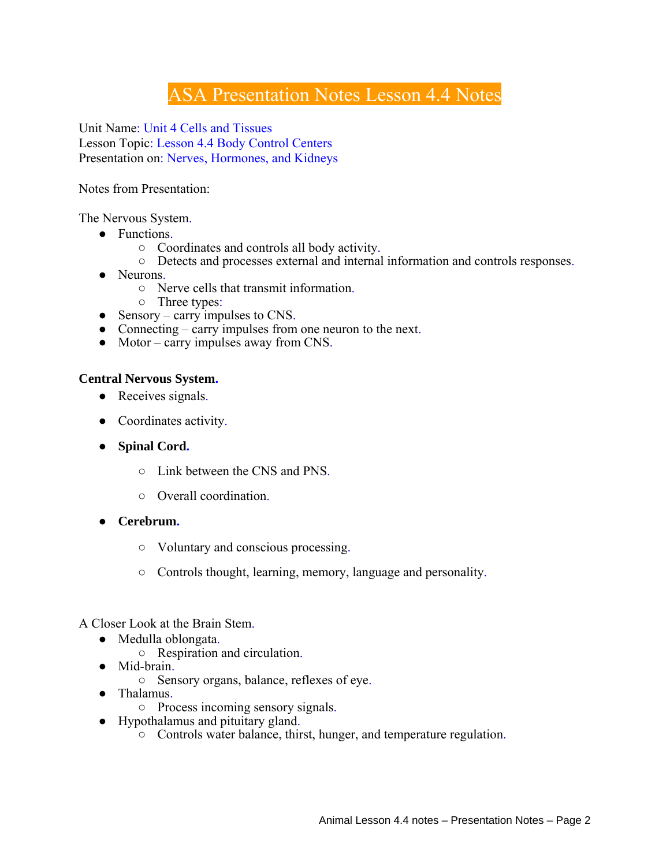# ASA Presentation Notes Lesson 4.4 Notes

Unit Name: Unit 4 Cells and Tissues Lesson Topic: Lesson 4.4 Body Control Centers Presentation on: Nerves, Hormones, and Kidneys

Notes from Presentation:

The Nervous System.

- Functions.
	- Coordinates and controls all body activity.
	- Detects and processes external and internal information and controls responses.
- Neurons.
	- Nerve cells that transmit information.
	- Three types:
- Sensory carry impulses to CNS.
- Connecting carry impulses from one neuron to the next.
- Motor carry impulses away from CNS.

#### **Central Nervous System.**

- Receives signals.
- Coordinates activity.
- **Spinal Cord.**
	- Link between the CNS and PNS.
	- Overall coordination.
- **Cerebrum.**
	- Voluntary and conscious processing.
	- Controls thought, learning, memory, language and personality.

A Closer Look at the Brain Stem.

- Medulla oblongata.
	- Respiration and circulation.
- Mid-brain.
	- Sensory organs, balance, reflexes of eye.
- Thalamus.
	- Process incoming sensory signals.
- Hypothalamus and pituitary gland.
	- Controls water balance, thirst, hunger, and temperature regulation.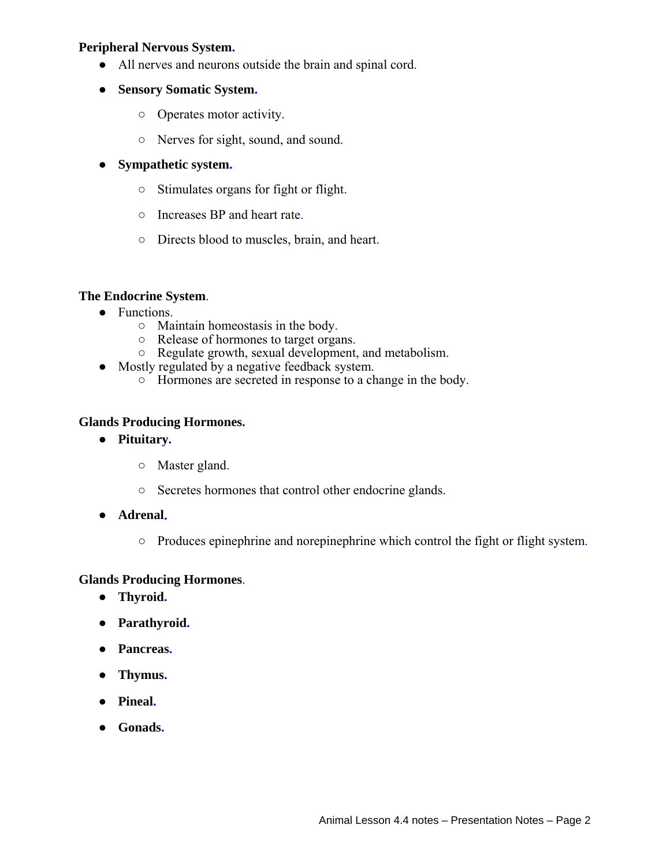# **Peripheral Nervous System.**

- All nerves and neurons outside the brain and spinal cord.
- **Sensory Somatic System.**
	- Operates motor activity.
	- Nerves for sight, sound, and sound.

# ● **Sympathetic system.**

- Stimulates organs for fight or flight.
- Increases BP and heart rate.
- Directs blood to muscles, brain, and heart.

# **The Endocrine System**.

- Functions.
	- Maintain homeostasis in the body.
	- Release of hormones to target organs.
	- Regulate growth, sexual development, and metabolism.
- Mostly regulated by a negative feedback system.
	- Hormones are secreted in response to a change in the body.

#### **Glands Producing Hormones.**

- **Pituitary.**
	- Master gland.
	- Secretes hormones that control other endocrine glands.
- **Adrenal.**
	- Produces epinephrine and norepinephrine which control the fight or flight system.

#### **Glands Producing Hormones**.

- **Thyroid.**
- **Parathyroid.**
- **Pancreas.**
- **Thymus.**
- **Pineal.**
- **Gonads.**